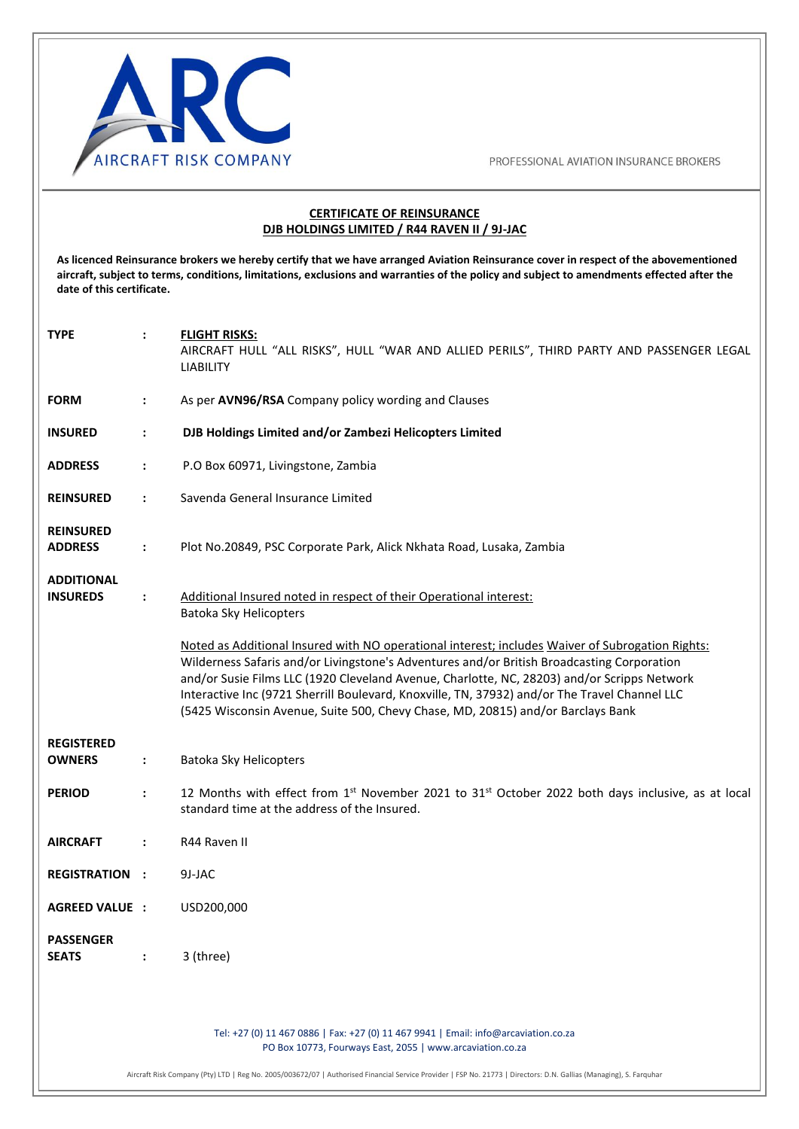

#### **CERTIFICATE OF REINSURANCE DJB HOLDINGS LIMITED / R44 RAVEN II / 9J-JAC**

**As licenced Reinsurance brokers we hereby certify that we have arranged Aviation Reinsurance cover in respect of the abovementioned aircraft, subject to terms, conditions, limitations, exclusions and warranties of the policy and subject to amendments effected after the date of this certificate.** 

| <b>TYPE</b>                          | $\ddot{\phantom{a}}$ | <b>FLIGHT RISKS:</b><br>AIRCRAFT HULL "ALL RISKS", HULL "WAR AND ALLIED PERILS", THIRD PARTY AND PASSENGER LEGAL<br><b>LIABILITY</b>                                                                                                                                                                                                                                                                                                                                              |
|--------------------------------------|----------------------|-----------------------------------------------------------------------------------------------------------------------------------------------------------------------------------------------------------------------------------------------------------------------------------------------------------------------------------------------------------------------------------------------------------------------------------------------------------------------------------|
| <b>FORM</b>                          | $\ddot{\phantom{a}}$ | As per AVN96/RSA Company policy wording and Clauses                                                                                                                                                                                                                                                                                                                                                                                                                               |
| <b>INSURED</b>                       | $\ddot{\phantom{a}}$ | DJB Holdings Limited and/or Zambezi Helicopters Limited                                                                                                                                                                                                                                                                                                                                                                                                                           |
| <b>ADDRESS</b>                       | $\ddot{\phantom{a}}$ | P.O Box 60971, Livingstone, Zambia                                                                                                                                                                                                                                                                                                                                                                                                                                                |
| <b>REINSURED</b>                     | $\ddot{\phantom{a}}$ | Savenda General Insurance Limited                                                                                                                                                                                                                                                                                                                                                                                                                                                 |
| <b>REINSURED</b><br><b>ADDRESS</b>   | $\ddot{\phantom{a}}$ | Plot No.20849, PSC Corporate Park, Alick Nkhata Road, Lusaka, Zambia                                                                                                                                                                                                                                                                                                                                                                                                              |
| <b>ADDITIONAL</b><br><b>INSUREDS</b> | $\ddot{\phantom{a}}$ | Additional Insured noted in respect of their Operational interest:<br>Batoka Sky Helicopters                                                                                                                                                                                                                                                                                                                                                                                      |
|                                      |                      | Noted as Additional Insured with NO operational interest; includes Waiver of Subrogation Rights:<br>Wilderness Safaris and/or Livingstone's Adventures and/or British Broadcasting Corporation<br>and/or Susie Films LLC (1920 Cleveland Avenue, Charlotte, NC, 28203) and/or Scripps Network<br>Interactive Inc (9721 Sherrill Boulevard, Knoxville, TN, 37932) and/or The Travel Channel LLC<br>(5425 Wisconsin Avenue, Suite 500, Chevy Chase, MD, 20815) and/or Barclays Bank |
| <b>REGISTERED</b><br><b>OWNERS</b>   | $\ddot{\phantom{a}}$ | Batoka Sky Helicopters                                                                                                                                                                                                                                                                                                                                                                                                                                                            |
| <b>PERIOD</b>                        | $\ddot{\phantom{a}}$ | 12 Months with effect from 1 <sup>st</sup> November 2021 to 31 <sup>st</sup> October 2022 both days inclusive, as at local<br>standard time at the address of the Insured.                                                                                                                                                                                                                                                                                                        |
| <b>AIRCRAFT</b>                      | $\ddot{\phantom{a}}$ | R44 Raven II                                                                                                                                                                                                                                                                                                                                                                                                                                                                      |
| <b>REGISTRATION :</b>                |                      | 9J-JAC                                                                                                                                                                                                                                                                                                                                                                                                                                                                            |
| <b>AGREED VALUE :</b>                |                      | USD200,000                                                                                                                                                                                                                                                                                                                                                                                                                                                                        |
| <b>PASSENGER</b><br><b>SEATS</b>     | $\ddot{\phantom{a}}$ | 3 (three)                                                                                                                                                                                                                                                                                                                                                                                                                                                                         |
|                                      |                      | Tel: +27 (0) 11 467 0886   Fax: +27 (0) 11 467 9941   Email: info@arcaviation.co.za<br>PO Box 10773, Fourways East, 2055   www.arcaviation.co.za                                                                                                                                                                                                                                                                                                                                  |

Aircraft Risk Company (Pty) LTD | Reg No. 2005/003672/07 | Authorised Financial Service Provider | FSP No. 21773 | Directors: D.N. Gallias (Managing), S. Farquhar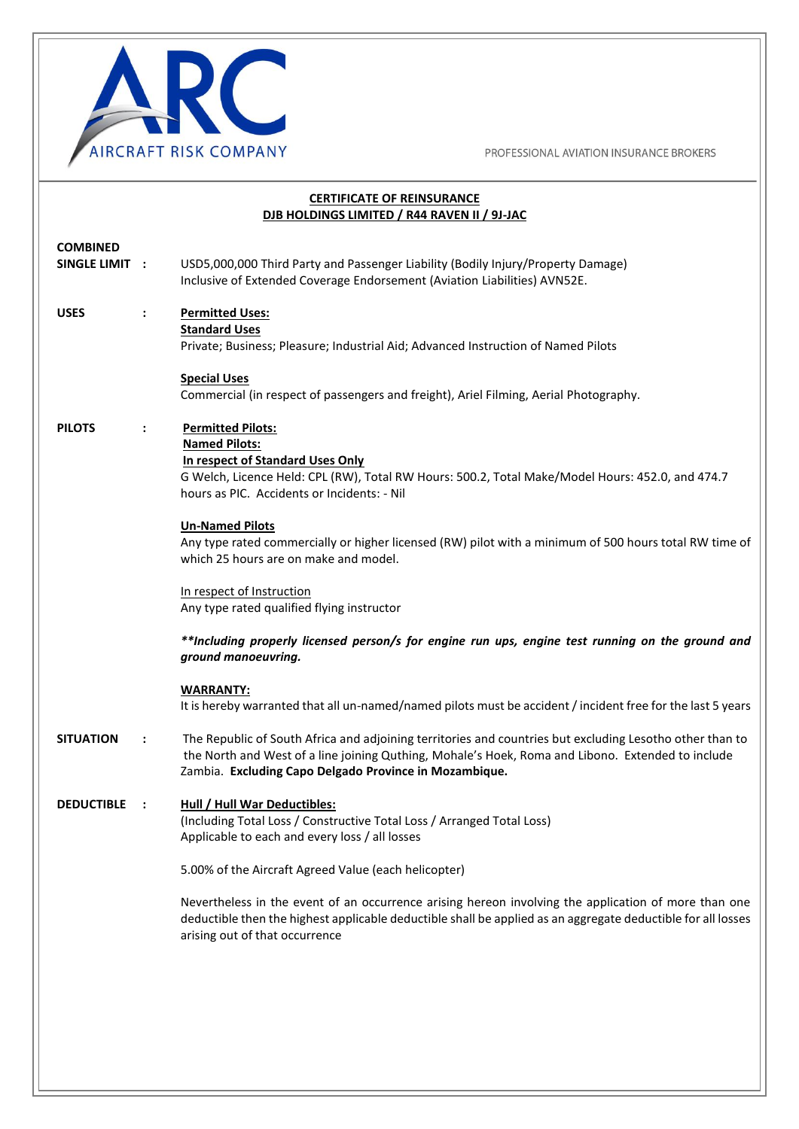

PROFESSIONAL AVIATION INSURANCE BROKERS

|                                          | <b>CERTIFICATE OF REINSURANCE</b><br>DJB HOLDINGS LIMITED / R44 RAVEN II / 9J-JAC                                                                                                                                                                                       |
|------------------------------------------|-------------------------------------------------------------------------------------------------------------------------------------------------------------------------------------------------------------------------------------------------------------------------|
| <b>COMBINED</b><br><b>SINGLE LIMIT :</b> | USD5,000,000 Third Party and Passenger Liability (Bodily Injury/Property Damage)<br>Inclusive of Extended Coverage Endorsement (Aviation Liabilities) AVN52E.                                                                                                           |
| <b>USES</b><br>$\ddot{\cdot}$            | <b>Permitted Uses:</b><br><b>Standard Uses</b><br>Private; Business; Pleasure; Industrial Aid; Advanced Instruction of Named Pilots                                                                                                                                     |
|                                          | <b>Special Uses</b><br>Commercial (in respect of passengers and freight), Ariel Filming, Aerial Photography.                                                                                                                                                            |
| <b>PILOTS</b>                            | <b>Permitted Pilots:</b><br><b>Named Pilots:</b><br>In respect of Standard Uses Only<br>G Welch, Licence Held: CPL (RW), Total RW Hours: 500.2, Total Make/Model Hours: 452.0, and 474.7<br>hours as PIC. Accidents or Incidents: - Nil                                 |
|                                          | <b>Un-Named Pilots</b><br>Any type rated commercially or higher licensed (RW) pilot with a minimum of 500 hours total RW time of<br>which 25 hours are on make and model.                                                                                               |
|                                          | In respect of Instruction<br>Any type rated qualified flying instructor                                                                                                                                                                                                 |
|                                          | **Including properly licensed person/s for engine run ups, engine test running on the ground and<br>ground manoeuvring.                                                                                                                                                 |
|                                          | <b>WARRANTY:</b><br>It is hereby warranted that all un-named/named pilots must be accident / incident free for the last 5 years                                                                                                                                         |
| <b>SITUATION</b><br>$\ddot{\phantom{a}}$ | The Republic of South Africa and adjoining territories and countries but excluding Lesotho other than to<br>the North and West of a line joining Quthing, Mohale's Hoek, Roma and Libono. Extended to include<br>Zambia. Excluding Capo Delgado Province in Mozambique. |
| <b>DEDUCTIBLE</b>                        | <b>Hull / Hull War Deductibles:</b><br>(Including Total Loss / Constructive Total Loss / Arranged Total Loss)<br>Applicable to each and every loss / all losses                                                                                                         |
|                                          | 5.00% of the Aircraft Agreed Value (each helicopter)                                                                                                                                                                                                                    |
|                                          | Nevertheless in the event of an occurrence arising hereon involving the application of more than one<br>deductible then the highest applicable deductible shall be applied as an aggregate deductible for all losses<br>arising out of that occurrence                  |
|                                          |                                                                                                                                                                                                                                                                         |
|                                          |                                                                                                                                                                                                                                                                         |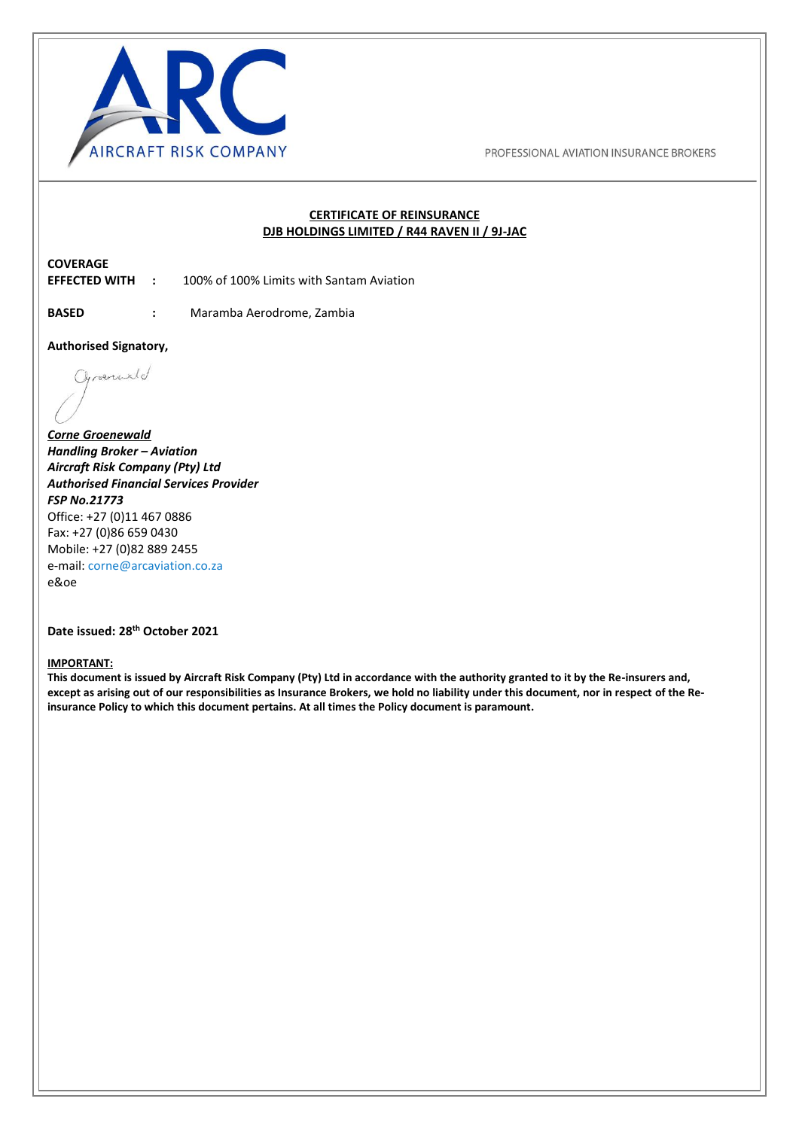

#### **CERTIFICATE OF REINSURANCE DJB HOLDINGS LIMITED / R44 RAVEN II / 9J-JAC**

# **COVERAGE**

**EFFECTED WITH :** 100% of 100% Limits with Santam Aviation

I

I

**BASED :** Maramba Aerodrome, Zambia

**Authorised Signatory,** 

Chroenciald

*Corne Groenewald Handling Broker – Aviation Aircraft Risk Company (Pty) Ltd Authorised Financial Services Provider FSP No.21773*  Office: +27 (0)11 467 0886 Fax: +27 (0)86 659 0430 Mobile: +27 (0)82 889 2455 e-mail: [corne@arcaviation.co.za](mailto:corne@arcaviation.co.za)  e&oe

#### **Date issued: 28th October 2021**

#### **IMPORTANT:**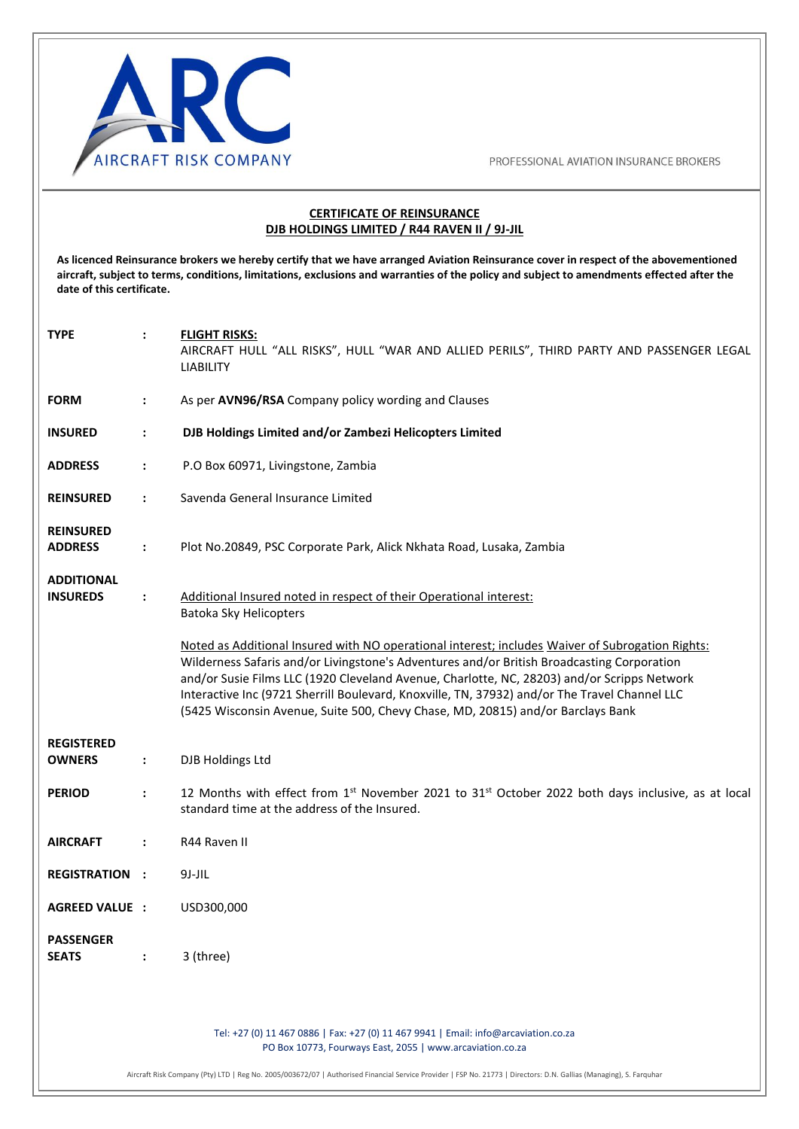

#### **CERTIFICATE OF REINSURANCE DJB HOLDINGS LIMITED / R44 RAVEN II / 9J-JIL**

**As licenced Reinsurance brokers we hereby certify that we have arranged Aviation Reinsurance cover in respect of the abovementioned aircraft, subject to terms, conditions, limitations, exclusions and warranties of the policy and subject to amendments effected after the date of this certificate.** 

| <b>TYPE</b>                          | $\ddot{\phantom{a}}$ | <b>FLIGHT RISKS:</b><br>AIRCRAFT HULL "ALL RISKS", HULL "WAR AND ALLIED PERILS", THIRD PARTY AND PASSENGER LEGAL<br><b>LIABILITY</b>                                                                                                                                                                                                                                                                                                                                              |
|--------------------------------------|----------------------|-----------------------------------------------------------------------------------------------------------------------------------------------------------------------------------------------------------------------------------------------------------------------------------------------------------------------------------------------------------------------------------------------------------------------------------------------------------------------------------|
| <b>FORM</b>                          | $\ddot{\phantom{a}}$ | As per AVN96/RSA Company policy wording and Clauses                                                                                                                                                                                                                                                                                                                                                                                                                               |
| <b>INSURED</b>                       | $\ddot{\cdot}$       | DJB Holdings Limited and/or Zambezi Helicopters Limited                                                                                                                                                                                                                                                                                                                                                                                                                           |
| <b>ADDRESS</b>                       | ÷                    | P.O Box 60971, Livingstone, Zambia                                                                                                                                                                                                                                                                                                                                                                                                                                                |
| <b>REINSURED</b>                     | $\ddot{\phantom{a}}$ | Savenda General Insurance Limited                                                                                                                                                                                                                                                                                                                                                                                                                                                 |
| <b>REINSURED</b><br><b>ADDRESS</b>   | $\ddot{\phantom{a}}$ | Plot No.20849, PSC Corporate Park, Alick Nkhata Road, Lusaka, Zambia                                                                                                                                                                                                                                                                                                                                                                                                              |
| <b>ADDITIONAL</b><br><b>INSUREDS</b> | $\ddot{\cdot}$       | Additional Insured noted in respect of their Operational interest:<br>Batoka Sky Helicopters                                                                                                                                                                                                                                                                                                                                                                                      |
|                                      |                      | Noted as Additional Insured with NO operational interest; includes Waiver of Subrogation Rights:<br>Wilderness Safaris and/or Livingstone's Adventures and/or British Broadcasting Corporation<br>and/or Susie Films LLC (1920 Cleveland Avenue, Charlotte, NC, 28203) and/or Scripps Network<br>Interactive Inc (9721 Sherrill Boulevard, Knoxville, TN, 37932) and/or The Travel Channel LLC<br>(5425 Wisconsin Avenue, Suite 500, Chevy Chase, MD, 20815) and/or Barclays Bank |
| <b>REGISTERED</b><br><b>OWNERS</b>   | $\ddot{\phantom{a}}$ | DJB Holdings Ltd                                                                                                                                                                                                                                                                                                                                                                                                                                                                  |
| <b>PERIOD</b>                        | $\ddot{\cdot}$       | 12 Months with effect from 1st November 2021 to 31st October 2022 both days inclusive, as at local<br>standard time at the address of the Insured.                                                                                                                                                                                                                                                                                                                                |
| <b>AIRCRAFT</b>                      | $\ddot{\phantom{a}}$ | R44 Raven II                                                                                                                                                                                                                                                                                                                                                                                                                                                                      |
| <b>REGISTRATION:</b>                 |                      | $9J-JIL$                                                                                                                                                                                                                                                                                                                                                                                                                                                                          |
| <b>AGREED VALUE :</b>                |                      | USD300,000                                                                                                                                                                                                                                                                                                                                                                                                                                                                        |
| <b>PASSENGER</b><br><b>SEATS</b>     | $\ddot{\phantom{a}}$ | 3 (three)                                                                                                                                                                                                                                                                                                                                                                                                                                                                         |
|                                      |                      | Tel: +27 (0) 11 467 0886   Fax: +27 (0) 11 467 9941   Email: info@arcaviation.co.za<br>PO Box 10773, Fourways East, 2055   www.arcaviation.co.za<br>Aircraft Risk Company (Pty) LTD   Reg No. 2005/003672/07   Authorised Financial Service Provider   FSP No. 21773   Directors: D.N. Gallias (Managing), S. Farquhar                                                                                                                                                            |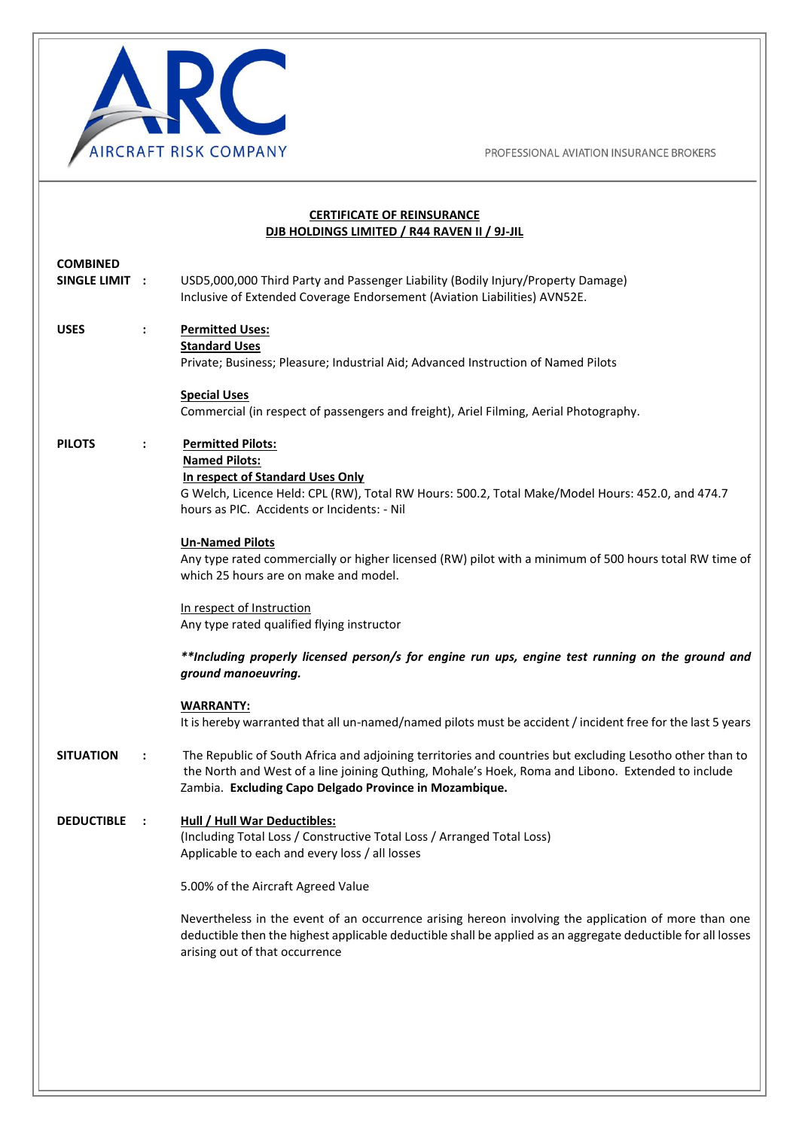

I

I

I

PROFESSIONAL AVIATION INSURANCE BROKERS

## **CERTIFICATE OF REINSURANCE DJB HOLDINGS LIMITED / R44 RAVEN II / 9J-JIL COMBINED SINGLE LIMIT :** USD5,000,000 Third Party and Passenger Liability (Bodily Injury/Property Damage) Inclusive of Extended Coverage Endorsement (Aviation Liabilities) AVN52E. **USES : Permitted Uses: Standard Uses**  Private; Business; Pleasure; Industrial Aid; Advanced Instruction of Named Pilots **Special Uses** Commercial (in respect of passengers and freight), Ariel Filming, Aerial Photography. **PILOTS : Permitted Pilots: Named Pilots: In respect of Standard Uses Only** G Welch, Licence Held: CPL (RW), Total RW Hours: 500.2, Total Make/Model Hours: 452.0, and 474.7 hours as PIC. Accidents or Incidents: - Nil **Un-Named Pilots**  Any type rated commercially or higher licensed (RW) pilot with a minimum of 500 hours total RW time of which 25 hours are on make and model. In respect of Instruction Any type rated qualified flying instructor *\*\*Including properly licensed person/s for engine run ups, engine test running on the ground and ground manoeuvring.*  **WARRANTY:**  It is hereby warranted that all un-named/named pilots must be accident / incident free for the last 5 years **SITUATION :** The Republic of South Africa and adjoining territories and countries but excluding Lesotho other than to the North and West of a line joining Quthing, Mohale's Hoek, Roma and Libono. Extended to include Zambia. **Excluding Capo Delgado Province in Mozambique. DEDUCTIBLE : Hull / Hull War Deductibles:**  (Including Total Loss / Constructive Total Loss / Arranged Total Loss) Applicable to each and every loss / all losses 5.00% of the Aircraft Agreed Value Nevertheless in the event of an occurrence arising hereon involving the application of more than one deductible then the highest applicable deductible shall be applied as an aggregate deductible for all losses arising out of that occurrence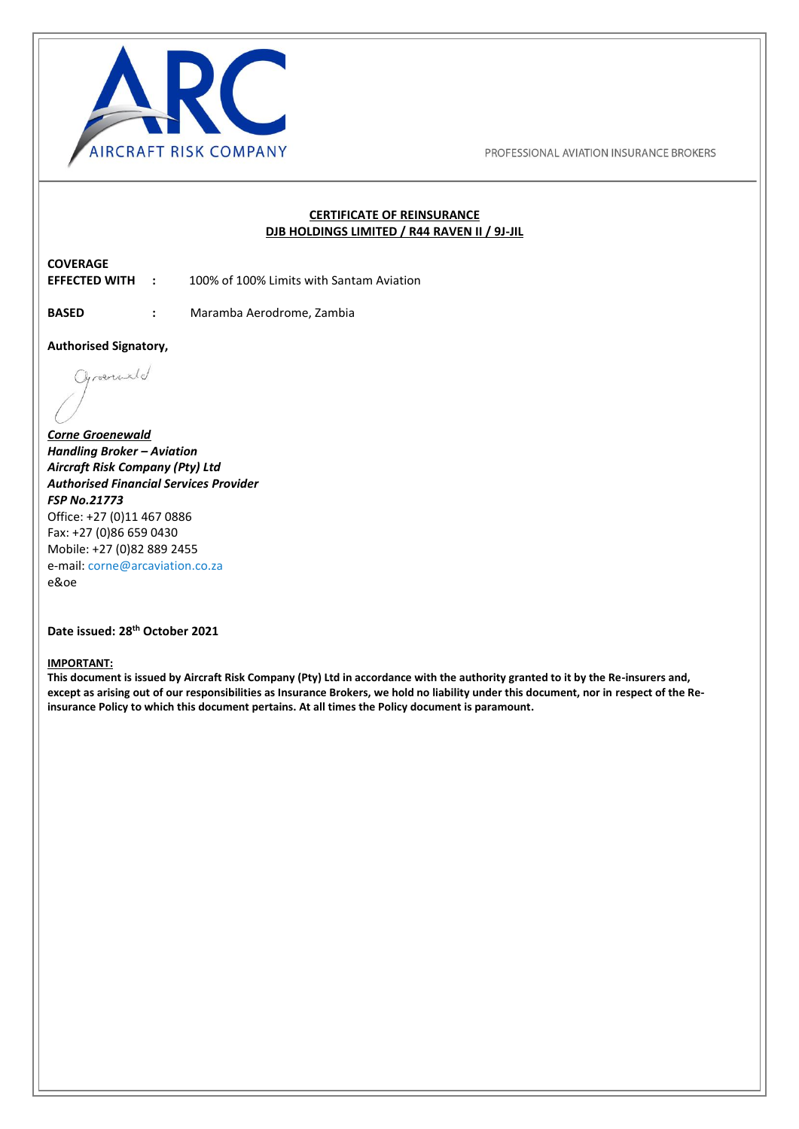

#### **CERTIFICATE OF REINSURANCE DJB HOLDINGS LIMITED / R44 RAVEN II / 9J-JIL**

# **COVERAGE**

**EFFECTED WITH :** 100% of 100% Limits with Santam Aviation

I

I

**BASED :** Maramba Aerodrome, Zambia

**Authorised Signatory,** 

Chroenciald

*Corne Groenewald Handling Broker – Aviation Aircraft Risk Company (Pty) Ltd Authorised Financial Services Provider FSP No.21773*  Office: +27 (0)11 467 0886 Fax: +27 (0)86 659 0430 Mobile: +27 (0)82 889 2455 e-mail: [corne@arcaviation.co.za](mailto:corne@arcaviation.co.za)  e&oe

#### **Date issued: 28th October 2021**

#### **IMPORTANT:**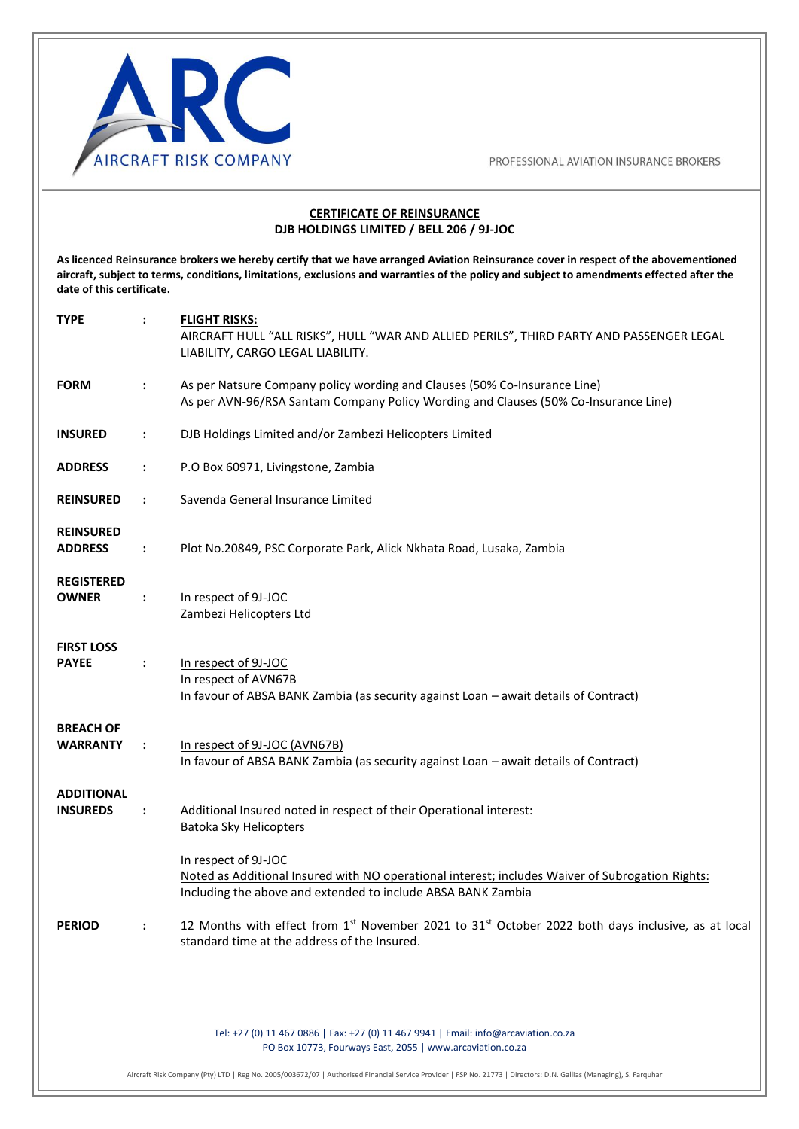

#### **CERTIFICATE OF REINSURANCE DJB HOLDINGS LIMITED / BELL 206 / 9J-JOC**

**As licenced Reinsurance brokers we hereby certify that we have arranged Aviation Reinsurance cover in respect of the abovementioned aircraft, subject to terms, conditions, limitations, exclusions and warranties of the policy and subject to amendments effected after the date of this certificate.** 

| <b>TYPE</b>                          | $\ddot{\phantom{a}}$ | <b>FLIGHT RISKS:</b><br>AIRCRAFT HULL "ALL RISKS", HULL "WAR AND ALLIED PERILS", THIRD PARTY AND PASSENGER LEGAL<br>LIABILITY, CARGO LEGAL LIABILITY.                                    |
|--------------------------------------|----------------------|------------------------------------------------------------------------------------------------------------------------------------------------------------------------------------------|
| <b>FORM</b>                          | $\ddot{\phantom{a}}$ | As per Natsure Company policy wording and Clauses (50% Co-Insurance Line)<br>As per AVN-96/RSA Santam Company Policy Wording and Clauses (50% Co-Insurance Line)                         |
| <b>INSURED</b>                       | $\ddot{\phantom{a}}$ | DJB Holdings Limited and/or Zambezi Helicopters Limited                                                                                                                                  |
| <b>ADDRESS</b>                       | $\ddot{\phantom{a}}$ | P.O Box 60971, Livingstone, Zambia                                                                                                                                                       |
| <b>REINSURED</b>                     | $\ddot{\phantom{a}}$ | Savenda General Insurance Limited                                                                                                                                                        |
| <b>REINSURED</b><br><b>ADDRESS</b>   | $\ddot{\phantom{a}}$ | Plot No.20849, PSC Corporate Park, Alick Nkhata Road, Lusaka, Zambia                                                                                                                     |
| <b>REGISTERED</b><br><b>OWNER</b>    | $\ddot{\phantom{a}}$ | In respect of 9J-JOC<br>Zambezi Helicopters Ltd                                                                                                                                          |
| <b>FIRST LOSS</b><br><b>PAYEE</b>    | $\ddot{\phantom{a}}$ | In respect of 9J-JOC<br>In respect of AVN67B<br>In favour of ABSA BANK Zambia (as security against Loan - await details of Contract)                                                     |
| <b>BREACH OF</b><br><b>WARRANTY</b>  | $\ddot{\phantom{a}}$ | In respect of 9J-JOC (AVN67B)<br>In favour of ABSA BANK Zambia (as security against Loan - await details of Contract)                                                                    |
| <b>ADDITIONAL</b><br><b>INSUREDS</b> | $\ddot{\phantom{a}}$ | Additional Insured noted in respect of their Operational interest:<br>Batoka Sky Helicopters                                                                                             |
|                                      |                      | In respect of 9J-JOC<br>Noted as Additional Insured with NO operational interest; includes Waiver of Subrogation Rights:<br>Including the above and extended to include ABSA BANK Zambia |
| <b>PERIOD</b>                        | $\ddot{\phantom{a}}$ | 12 Months with effect from 1st November 2021 to 31st October 2022 both days inclusive, as at local<br>standard time at the address of the Insured.                                       |
|                                      |                      |                                                                                                                                                                                          |
|                                      |                      | Tel: +27 (0) 11 467 0886   Fax: +27 (0) 11 467 9941   Email: info@arcaviation.co.za<br>PO Box 10773, Fourways East, 2055   www.arcaviation.co.za                                         |
|                                      |                      | Aircraft Risk Company (Pty) LTD   Reg No. 2005/003672/07   Authorised Financial Service Provider   FSP No. 21773   Directors: D.N. Gallias (Managing), S. Farquhar                       |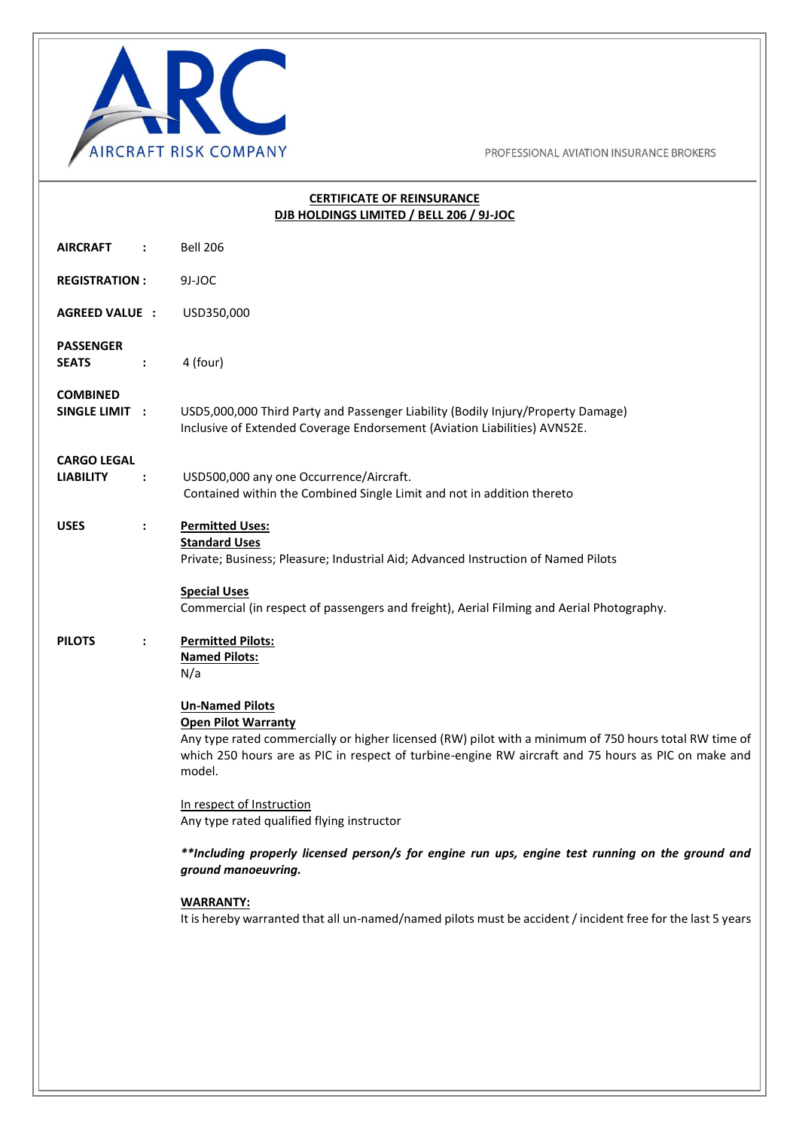

## **CERTIFICATE OF REINSURANCE DJB HOLDINGS LIMITED / BELL 206 / 9J-JOC AIRCRAFT :** Bell 206 **REGISTRATION :** 9J-JOC **AGREED VALUE :** USD350,000 **PASSENGER SEATS** : 4 (four) **COMBINED SINGLE LIMIT :** USD5,000,000 Third Party and Passenger Liability (Bodily Injury/Property Damage) Inclusive of Extended Coverage Endorsement (Aviation Liabilities) AVN52E. **CARGO LEGAL LIABILITY :** USD500,000 any one Occurrence/Aircraft. Contained within the Combined Single Limit and not in addition thereto **USES : Permitted Uses: Standard Uses**  Private; Business; Pleasure; Industrial Aid; Advanced Instruction of Named Pilots **Special Uses** Commercial (in respect of passengers and freight), Aerial Filming and Aerial Photography. **PILOTS : Permitted Pilots: Named Pilots:**  N/a **Un-Named Pilots Open Pilot Warranty** Any type rated commercially or higher licensed (RW) pilot with a minimum of 750 hours total RW time of which 250 hours are as PIC in respect of turbine-engine RW aircraft and 75 hours as PIC on make and model. In respect of Instruction Any type rated qualified flying instructor *\*\*Including properly licensed person/s for engine run ups, engine test running on the ground and ground manoeuvring.*  **WARRANTY:**  It is hereby warranted that all un-named/named pilots must be accident / incident free for the last 5 years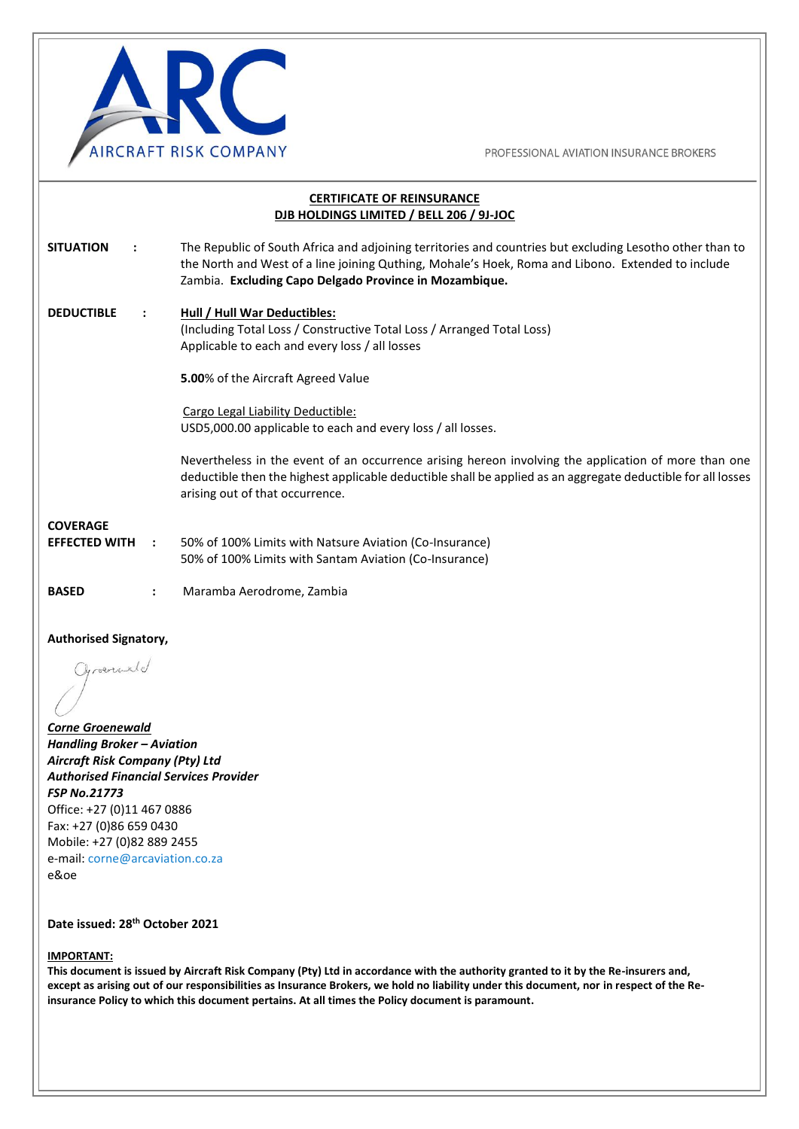

| <b>CERTIFICATE OF REINSURANCE</b><br>DJB HOLDINGS LIMITED / BELL 206 / 9J-JOC |                      |                                                                                                                                                                                                                                                                         |
|-------------------------------------------------------------------------------|----------------------|-------------------------------------------------------------------------------------------------------------------------------------------------------------------------------------------------------------------------------------------------------------------------|
| <b>SITUATION</b>                                                              | $\ddot{\cdot}$       | The Republic of South Africa and adjoining territories and countries but excluding Lesotho other than to<br>the North and West of a line joining Quthing, Mohale's Hoek, Roma and Libono. Extended to include<br>Zambia. Excluding Capo Delgado Province in Mozambique. |
| <b>DEDUCTIBLE</b>                                                             | $\ddot{\phantom{a}}$ | Hull / Hull War Deductibles:<br>(Including Total Loss / Constructive Total Loss / Arranged Total Loss)<br>Applicable to each and every loss / all losses                                                                                                                |
|                                                                               |                      | 5.00% of the Aircraft Agreed Value                                                                                                                                                                                                                                      |
|                                                                               |                      | Cargo Legal Liability Deductible:<br>USD5,000.00 applicable to each and every loss / all losses.                                                                                                                                                                        |
|                                                                               |                      | Nevertheless in the event of an occurrence arising hereon involving the application of more than one<br>deductible then the highest applicable deductible shall be applied as an aggregate deductible for all losses<br>arising out of that occurrence.                 |
| <b>COVERAGE</b>                                                               |                      |                                                                                                                                                                                                                                                                         |
| <b>EFFECTED WITH</b>                                                          | $\ddot{\phantom{a}}$ | 50% of 100% Limits with Natsure Aviation (Co-Insurance)<br>50% of 100% Limits with Santam Aviation (Co-Insurance)                                                                                                                                                       |
| <b>BASED</b>                                                                  | $\ddot{\phantom{a}}$ | Maramba Aerodrome, Zambia                                                                                                                                                                                                                                               |
| Authoricad Cianatom                                                           |                      |                                                                                                                                                                                                                                                                         |

**Authorised Signatory,**  Oprocentiald

I

*Corne Groenewald Handling Broker – Aviation Aircraft Risk Company (Pty) Ltd Authorised Financial Services Provider FSP No.21773*  Office: +27 (0)11 467 0886 Fax: +27 (0)86 659 0430 Mobile: +27 (0)82 889 2455 e-mail: [corne@arcaviation.co.za](mailto:corne@arcaviation.co.za)  e&oe

### **Date issued: 28th October 2021**

#### **IMPORTANT:**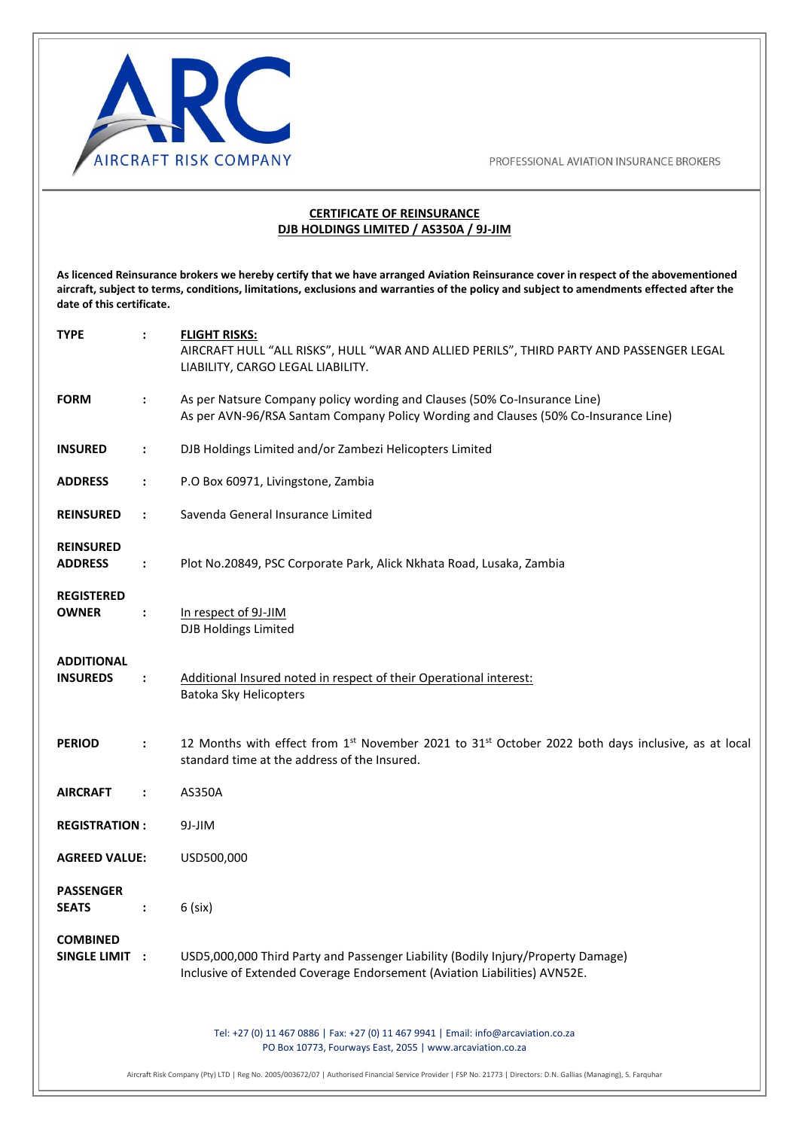

#### **CERTIFICATE OF REINSURANCE DJB HOLDINGS LIMITED / AS350A / 9J-JIM**

**As licenced Reinsurance brokers we hereby certify that we have arranged Aviation Reinsurance cover in respect of the abovementioned aircraft, subject to terms, conditions, limitations, exclusions and warranties of the policy and subject to amendments effected after the date of this certificate.** 

| <b>TYPE</b>                          |                      | <b>FLIGHT RISKS:</b><br>AIRCRAFT HULL "ALL RISKS", HULL "WAR AND ALLIED PERILS", THIRD PARTY AND PASSENGER LEGAL<br>LIABILITY, CARGO LEGAL LIABILITY.            |
|--------------------------------------|----------------------|------------------------------------------------------------------------------------------------------------------------------------------------------------------|
| <b>FORM</b>                          | ÷                    | As per Natsure Company policy wording and Clauses (50% Co-Insurance Line)<br>As per AVN-96/RSA Santam Company Policy Wording and Clauses (50% Co-Insurance Line) |
| <b>INSURED</b>                       | $\ddot{\phantom{a}}$ | DJB Holdings Limited and/or Zambezi Helicopters Limited                                                                                                          |
| <b>ADDRESS</b>                       | $\ddot{\phantom{a}}$ | P.O Box 60971, Livingstone, Zambia                                                                                                                               |
| <b>REINSURED</b>                     | $\ddot{\cdot}$       | Savenda General Insurance Limited                                                                                                                                |
| <b>REINSURED</b><br><b>ADDRESS</b>   | $\ddot{\phantom{a}}$ | Plot No.20849, PSC Corporate Park, Alick Nkhata Road, Lusaka, Zambia                                                                                             |
| <b>REGISTERED</b><br><b>OWNER</b>    | ÷                    | In respect of 9J-JIM<br>DJB Holdings Limited                                                                                                                     |
| <b>ADDITIONAL</b><br><b>INSUREDS</b> | $\ddot{\cdot}$       | Additional Insured noted in respect of their Operational interest:<br>Batoka Sky Helicopters                                                                     |
| <b>PERIOD</b>                        | $\ddot{\phantom{a}}$ | 12 Months with effect from $1^{st}$ November 2021 to $31^{st}$ October 2022 both days inclusive, as at local<br>standard time at the address of the Insured.     |
| <b>AIRCRAFT</b>                      | $\ddot{\cdot}$       | AS350A                                                                                                                                                           |
| <b>REGISTRATION:</b>                 |                      | 9J-JIM                                                                                                                                                           |
| <b>AGREED VALUE:</b>                 |                      | USD500,000                                                                                                                                                       |
| <b>PASSENGER</b><br><b>SEATS</b>     | $\ddot{\cdot}$       | $6$ (six)                                                                                                                                                        |
| <b>COMBINED</b><br>SINGLE LIMIT :    |                      | USD5,000,000 Third Party and Passenger Liability (Bodily Injury/Property Damage)<br>Inclusive of Extended Coverage Endorsement (Aviation Liabilities) AVN52E.    |
|                                      |                      | Tel: +27 (0) 11 467 0886   Fax: +27 (0) 11 467 9941   Email: info@arcaviation.co.za<br>PO Box 10773, Fourways East, 2055   www.arcaviation.co.za                 |

Aircraft Risk Company (Pty) LTD | Reg No. 2005/003672/07 | Authorised Financial Service Provider | FSP No. 21773 | Directors: D.N. Gallias (Managing), S. Farquhar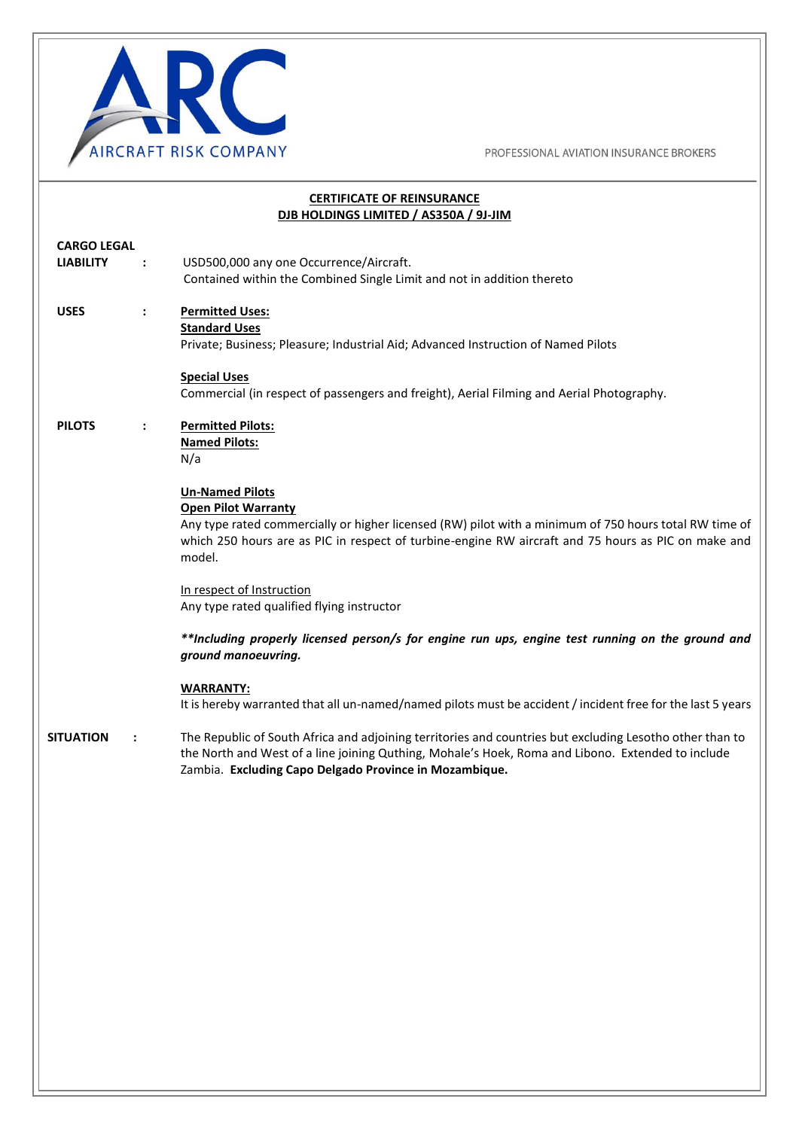

| <b>CERTIFICATE OF REINSURANCE</b><br>DJB HOLDINGS LIMITED / AS350A / 9J-JIM |                      |                                                                                                                                                                                                                                                                                 |
|-----------------------------------------------------------------------------|----------------------|---------------------------------------------------------------------------------------------------------------------------------------------------------------------------------------------------------------------------------------------------------------------------------|
| <b>CARGO LEGAL</b><br><b>LIABILITY</b>                                      | $\ddot{\phantom{a}}$ | USD500,000 any one Occurrence/Aircraft.<br>Contained within the Combined Single Limit and not in addition thereto                                                                                                                                                               |
| <b>USES</b>                                                                 | $\ddot{\phantom{a}}$ | <b>Permitted Uses:</b><br><b>Standard Uses</b><br>Private; Business; Pleasure; Industrial Aid; Advanced Instruction of Named Pilots                                                                                                                                             |
|                                                                             |                      | <b>Special Uses</b><br>Commercial (in respect of passengers and freight), Aerial Filming and Aerial Photography.                                                                                                                                                                |
| <b>PILOTS</b>                                                               | $\ddot{\phantom{a}}$ | <b>Permitted Pilots:</b><br><b>Named Pilots:</b><br>N/a                                                                                                                                                                                                                         |
|                                                                             |                      | <b>Un-Named Pilots</b><br><b>Open Pilot Warranty</b><br>Any type rated commercially or higher licensed (RW) pilot with a minimum of 750 hours total RW time of<br>which 250 hours are as PIC in respect of turbine-engine RW aircraft and 75 hours as PIC on make and<br>model. |
|                                                                             |                      | In respect of Instruction<br>Any type rated qualified flying instructor                                                                                                                                                                                                         |
|                                                                             |                      | **Including properly licensed person/s for engine run ups, engine test running on the ground and<br>ground manoeuvring.                                                                                                                                                         |
|                                                                             |                      | <b>WARRANTY:</b><br>It is hereby warranted that all un-named/named pilots must be accident / incident free for the last 5 years                                                                                                                                                 |
| <b>SITUATION</b>                                                            | :                    | The Republic of South Africa and adjoining territories and countries but excluding Lesotho other than to<br>the North and West of a line joining Quthing, Mohale's Hoek, Roma and Libono. Extended to include<br>Zambia. Excluding Capo Delgado Province in Mozambique.         |
|                                                                             |                      |                                                                                                                                                                                                                                                                                 |
|                                                                             |                      |                                                                                                                                                                                                                                                                                 |
|                                                                             |                      |                                                                                                                                                                                                                                                                                 |
|                                                                             |                      |                                                                                                                                                                                                                                                                                 |
|                                                                             |                      |                                                                                                                                                                                                                                                                                 |
|                                                                             |                      |                                                                                                                                                                                                                                                                                 |